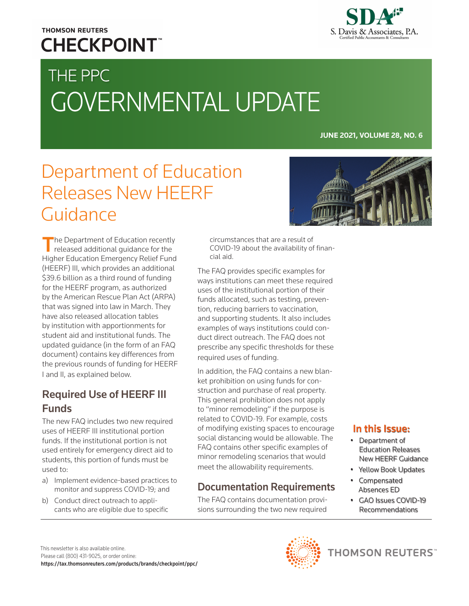# **THOMSON REUTERS CHECKPOINT**

# THE PPC GOVERNMENTAL UPDATE

**JUNE 2021, VOLUME 28, NO. 6**

# Department of Education Releases New HEERF Guidance

The Department of Education recently released additional guidance for the Higher Education Emergency Relief Fund (HEERF) III, which provides an additional \$39.6 billion as a third round of funding for the HEERF program, as authorized by the American Rescue Plan Act (ARPA) that was signed into law in March. They have also released allocation tables by institution with apportionments for student aid and institutional funds. The updated guidance (in the form of an FAQ document) contains key differences from the previous rounds of funding for HEERF I and II, as explained below.

## Required Use of HEERF III Funds

The new FAQ includes two new required uses of HEERF III institutional portion funds. If the institutional portion is not used entirely for emergency direct aid to students, this portion of funds must be used to:

- a) Implement evidence-based practices to monitor and suppress COVID-19; and
- b) Conduct direct outreach to applicants who are eligible due to specific

circumstances that are a result of COVID-19 about the availability of financial aid.

The FAQ provides specific examples for ways institutions can meet these required uses of the institutional portion of their funds allocated, such as testing, prevention, reducing barriers to vaccination, and supporting students. It also includes examples of ways institutions could conduct direct outreach. The FAQ does not prescribe any specific thresholds for these required uses of funding.

In addition, the FAQ contains a new blanket prohibition on using funds for construction and purchase of real property. This general prohibition does not apply to "minor remodeling" if the purpose is related to COVID-19. For example, costs of modifying existing spaces to encourage social distancing would be allowable. The FAQ contains other specific examples of minor remodeling scenarios that would meet the allowability requirements.

### Documentation Requirements

The FAQ contains documentation provisions surrounding the two new required

#### In this Issue:

- Department of Education Releases New HEERF Guidance
- Yellow Book Updates
- Compensated Absences ED
- GAO Issues COVID-19 Recommendations

This newsletter is also available online. Please call (800) 431-9025, or order online: <https://tax.thomsonreuters.com/products/brands/checkpoint/ppc/>

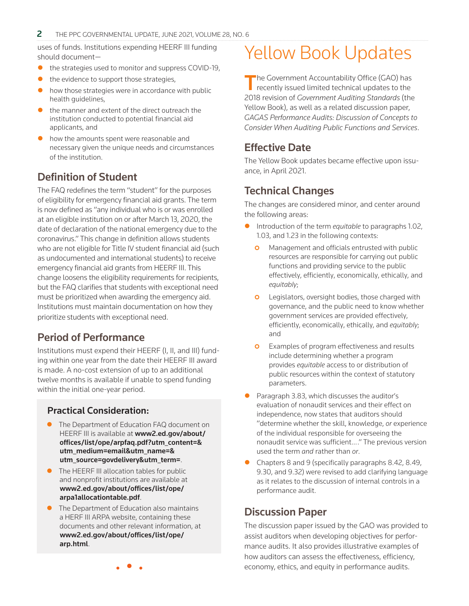uses of funds. Institutions expending HEERF III funding should document—

- the strategies used to monitor and suppress COVID-19,
- the evidence to support those strategies,
- how those strategies were in accordance with public health guidelines,
- the manner and extent of the direct outreach the institution conducted to potential financial aid applicants, and
- how the amounts spent were reasonable and necessary given the unique needs and circumstances of the institution.

## Definition of Student

The FAQ redefines the term "student" for the purposes of eligibility for emergency financial aid grants. The term is now defined as "any individual who is or was enrolled at an eligible institution on or after March 13, 2020, the date of declaration of the national emergency due to the coronavirus." This change in definition allows students who are not eligible for Title IV student financial aid (such as undocumented and international students) to receive emergency financial aid grants from HEERF III. This change loosens the eligibility requirements for recipients, but the FAQ clarifies that students with exceptional need must be prioritized when awarding the emergency aid. Institutions must maintain documentation on how they prioritize students with exceptional need.

### Period of Performance

Institutions must expend their HEERF (I, II, and III) funding within one year from the date their HEERF III award is made. A no-cost extension of up to an additional twelve months is available if unable to spend funding within the initial one-year period.

#### Practical Consideration:

- The Department of Education FAQ document on HEERF III is available at www2.ed.gov/about/ [offices/list/ope/arpfaq.pdf?utm\\_content=&](https://www2.ed.gov/about/offices/list/ope/arpfaq.pdf?utm_content=&utm_medium=email&utm_name=&utm_source=govdelivery&utm_term=) utm\_medium=email&utm\_name=& utm\_source=govdelivery&utm\_term=.
- $\bullet$  The HEERF III allocation tables for public and nonprofit institutions are available at [www2.ed.gov/about/offices/list/ope/](www2.ed.gov/about/offices/list/ope/arpa1allocationtable.pdf) arpa1allocationtable.pdf.
- The Department of Education also maintains a HERF III ARPA website, containing these documents and other relevant information, at [www2.ed.gov/about/offices/list/ope/](https://www2.ed.gov/about/offices/list/ope/arp.html) arp.html.

# Yellow Book Updates

The Government Accountability Office (GAO) has<br>recently issued limited technical updates to the 2018 revision of *Government Auditing Standards* (the Yellow Book), as well as a related discussion paper, *GAGAS Performance Audits: Discussion of Concepts to Consider When Auditing Public Functions and Services*.

### Effective Date

The Yellow Book updates became effective upon issuance, in April 2021.

### Technical Changes

The changes are considered minor, and center around the following areas:

- z Introduction of the term *equitable* to paragraphs 1.02, 1.03, and 1.23 in the following contexts:
	- **O** Management and officials entrusted with public resources are responsible for carrying out public functions and providing service to the public effectively, efficiently, economically, ethically, and *equitably*;
	- **o** Legislators, oversight bodies, those charged with governance, and the public need to know whether government services are provided effectively, efficiently, economically, ethically, and *equitably*; and
	- **o** Examples of program effectiveness and results include determining whether a program provides *equitable* access to or distribution of public resources within the context of statutory parameters.
- $\bullet$  Paragraph 3.83, which discusses the auditor's evaluation of nonaudit services and their effect on independence, now states that auditors should "determine whether the skill, knowledge, *or* experience of the individual responsible for overseeing the nonaudit service was sufficient… ." The previous version used the term *and* rather than *or*.
- Chapters 8 and 9 (specifically paragraphs 8.42, 8.49, 9.30, and 9.32) were revised to add clarifying language as it relates to the discussion of internal controls in a performance audit.

### Discussion Paper

The discussion paper issued by the GAO was provided to assist auditors when developing objectives for performance audits. It also provides illustrative examples of how auditors can assess the effectiveness, efficiency, economy, ethics, and equity in performance audits.

• • •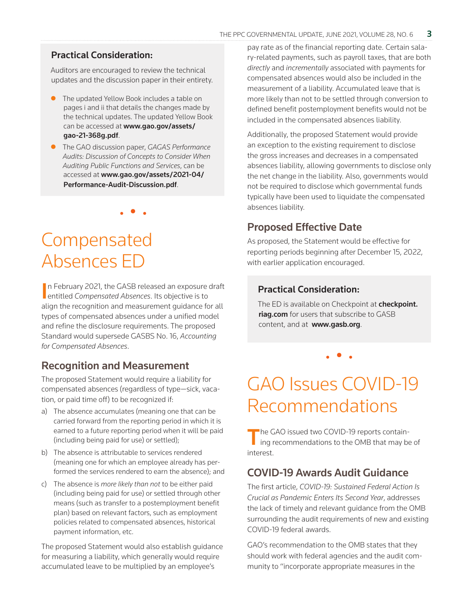#### Practical Consideration:

Auditors are encouraged to review the technical updates and the discussion paper in their entirety.

- $\bullet$  The updated Yellow Book includes a table on pages i and ii that details the changes made by the technical updates. The updated Yellow Book can be accessed at [www.gao.gov/assets/](https://www.gao.gov/assets/gao-21-368g.pdf) gao-21-368g.pdf.
- z The GAO discussion paper, *GAGAS Performance Audits: Discussion of Concepts to Consider When Auditing Public Functions and Services*, can be accessed at www.gao.gov/assets/2021-04/ [Performance-Audit-Discussion.pdf](https://www.gao.gov/assets/2021-04/Performance-Audit-Discussion.pdf).

• • •

# Compensated Absences ED

In February 2021, the GASB released an exposure<br>
entitled *Compensated Absences*. Its objective is to n February 2021, the GASB released an exposure draft align the recognition and measurement guidance for all types of compensated absences under a unified model and refine the disclosure requirements. The proposed Standard would supersede GASBS No. 16, *Accounting for Compensated Absences*.

#### Recognition and Measurement

The proposed Statement would require a liability for compensated absences (regardless of type—sick, vacation, or paid time off) to be recognized if:

- a) The absence accumulates (meaning one that can be carried forward from the reporting period in which it is earned to a future reporting period when it will be paid (including being paid for use) or settled);
- b) The absence is attributable to services rendered (meaning one for which an employee already has performed the services rendered to earn the absence); and
- c) The absence is *more likely than not* to be either paid (including being paid for use) or settled through other means (such as transfer to a postemployment benefit plan) based on relevant factors, such as employment policies related to compensated absences, historical payment information, etc.

The proposed Statement would also establish guidance for measuring a liability, which generally would require accumulated leave to be multiplied by an employee's

pay rate as of the financial reporting date. Certain salary-related payments, such as payroll taxes, that are both *directly* and *incrementally* associated with payments for compensated absences would also be included in the measurement of a liability. Accumulated leave that is more likely than not to be settled through conversion to defined benefit postemployment benefits would not be included in the compensated absences liability.

Additionally, the proposed Statement would provide an exception to the existing requirement to disclose the gross increases and decreases in a compensated absences liability, allowing governments to disclose only the net change in the liability. Also, governments would not be required to disclose which governmental funds typically have been used to liquidate the compensated absences liability.

#### Proposed Effective Date

As proposed, the Statement would be effective for reporting periods beginning after December 15, 2022, with earlier application encouraged.

#### Practical Consideration:

The ED is available on Checkpoint at [checkpoint.](https://checkpoint.riag.com/app/find?begParm=y&appVer=21.06&dbName=GASB&linkType=docloc&locId=gasbed_4-7&ods=GASB&permaId=iGASB%3A2058.1&permaType=doc&tagName=GASBDOC&endParm=y) [riag.com](https://checkpoint.riag.com/app/find?begParm=y&appVer=21.06&dbName=GASB&linkType=docloc&locId=gasbed_4-7&ods=GASB&permaId=iGASB%3A2058.1&permaType=doc&tagName=GASBDOC&endParm=y) for users that subscribe to GASB content, and at [www.gasb.org](https://www.gasb.org).

• • •

# GAO Issues COVID-19 Recommendations

The GAO issued two COVID-19 reports contain-<br>ing recommendations to the OMB that may be of interest.

### COVID-19 Awards Audit Guidance

The first article, *COVID-19: Sustained Federal Action Is Crucial as Pandemic Enters Its Second Year*, addresses the lack of timely and relevant guidance from the OMB surrounding the audit requirements of new and existing COVID-19 federal awards.

GAO's recommendation to the OMB states that they should work with federal agencies and the audit community to "incorporate appropriate measures in the